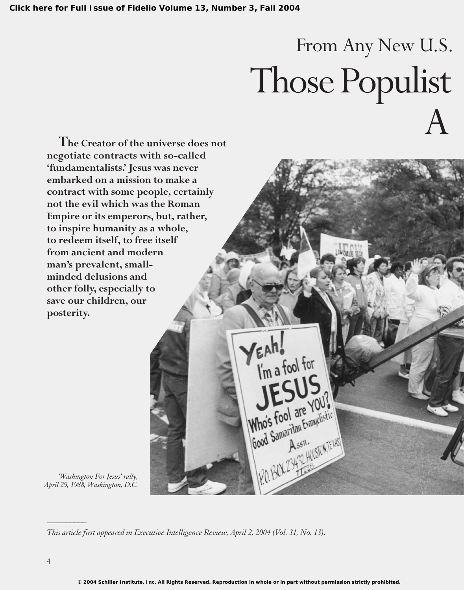# From Any New U.S. Those Populist A

**The Creator of the universe does not negotiate contracts with so-called 'fundamentalists.' Jesus was never embarked on a mission to make a contract with some people, certainly not the evil which was the Roman Empire or its emperors, but, rather, to inspire humanity as a whole, to redeem itself, to free itself from ancient and modern man's prevalent, smallminded delusions and other folly, especially to save our children, our posterity.**

*'Washington For Jesus' rally, April 29, 1988, Washington, D.C.*

*This article first appeared in Executive Intelligence Review, April 2, 2004 (Vol. 31, No. 13).*

*\_\_\_\_\_\_\_\_\_\_*

VEAH!

Who's Fool are You?

Mho's foot are Evangelistic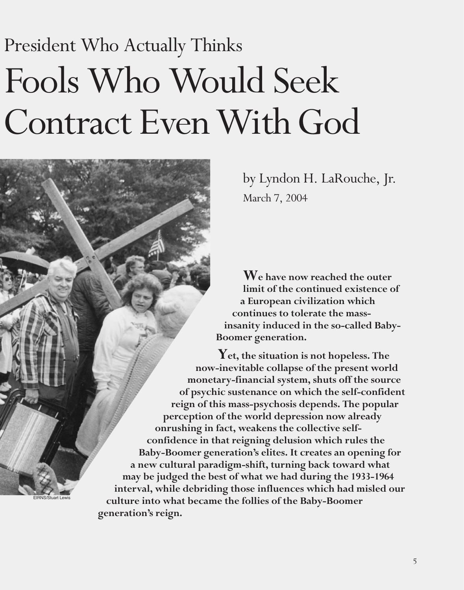# President Who Actually Thinks Fools Who Would Seek Contract Even With God

EIRNS/Stuart Lewis

by Lyndon H. LaRouche, Jr. March 7, 2004

**We have now reached the outer limit of the continued existence of a European civilization which continues to tolerate the massinsanity induced in the so-called Baby-Boomer generation.**

**Yet, the situation is not hopeless. The now-inevitable collapse of the present world monetary-financial system, shuts off the source of psychic sustenance on which the self-confident reign of this mass-psychosis depends. The popular perception of the world depression now already onrushing in fact, weakens the collective selfconfidence in that reigning delusion which rules the Baby-Boomer generation's elites. It creates an opening for a new cultural paradigm-shift, turning back toward what may be judged the best of what we had during the 1933-1964 interval, while debriding those influences which had misled our culture into what became the follies of the Baby-Boomer generation's reign.**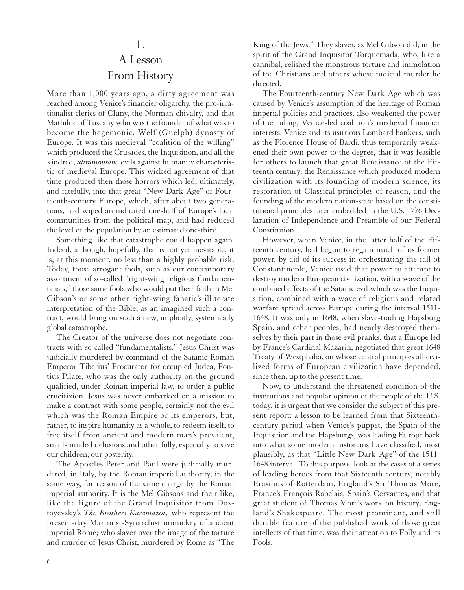#### 1.

# A Lesson From History

More than 1,000 years ago, a dirty agreement was reached among Venice's financier oligarchy, the pro-irrationalist clerics of Cluny, the Norman chivalry, and that Mathilde of Tuscany who was the founder of what was to become the hegemonic, Welf (Guelph) dynasty of Europe. It was this medieval "coalition of the willing" which produced the Crusades, the Inquisition, and all the kindred, *ultramontane* evils against humanity characteristic of medieval Europe. This wicked agreement of that time produced then those horrors which led, ultimately, and fatefully, into that great "New Dark Age" of Fourteenth-century Europe, which, after about two generations, had wiped an indicated one-half of Europe's local communities from the political map, and had reduced the level of the population by an estimated one-third.

Something like that catastrophe could happen again. Indeed, although, hopefully, that is not yet inevitable, it is, at this moment, no less than a highly probable risk. Today, those arrogant fools, such as our contemporary assortment of so-called "right-wing religious fundamentalists," those same fools who would put their faith in Mel Gibson's or some other right-wing fanatic's illiterate interpretation of the Bible, as an imagined such a contract, would bring on such a new, implicitly, systemically global catastrophe.

The Creator of the universe does not negotiate contracts with so-called "fundamentalists." Jesus Christ was judicially murdered by command of the Satanic Roman Emperor Tiberius' Procurator for occupied Judea, Pontius Pilate, who was the only authority on the ground qualified, under Roman imperial law, to order a public crucifixion. Jesus was never embarked on a mission to make a contract with some people, certainly not the evil which was the Roman Empire or its emperors, but, rather, to inspire humanity as a whole, to redeem itself, to free itself from ancient and modern man's prevalent, small-minded delusions and other folly, especially to save our children, our posterity.

The Apostles Peter and Paul were judicially murdered, in Italy, by the Roman imperial authority, in the same way, for reason of the same charge by the Roman imperial authority. It is the Mel Gibsons and their like, like the figure of the Grand Inquisitor from Dostoyevsky's *The Brothers Karamazov,* who represent the present-day Martinist-Synarchist mimickry of ancient imperial Rome; who slaver over the image of the torture and murder of Jesus Christ, murdered by Rome as "The

King of the Jews." They slaver, as Mel Gibson did, in the spirit of the Grand Inquisitor Torquemada, who, like a cannibal, relished the monstrous torture and immolation of the Christians and others whose judicial murder he directed.

The Fourteenth-century New Dark Age which was caused by Venice's assumption of the heritage of Roman imperial policies and practices, also weakened the power of the ruling, Venice-led coalition's medieval financier interests. Venice and its usurious Lombard bankers, such as the Florence House of Bardi, thus temporarily weakened their own power to the degree, that it was feasible for others to launch that great Renaissance of the Fifteenth century, the Renaissance which produced modern civilization with its founding of modern science, its restoration of Classical principles of reason, and the founding of the modern nation-state based on the constitutional principles later embedded in the U.S. 1776 Declaration of Independence and Preamble of our Federal Constitution.

However, when Venice, in the latter half of the Fifteenth century, had begun to regain much of its former power, by aid of its success in orchestrating the fall of Constantinople, Venice used that power to attempt to destroy modern European civilization, with a wave of the combined effects of the Satanic evil which was the Inquisition, combined with a wave of religious and related warfare spread across Europe during the interval 1511- 1648. It was only in 1648, when slave-trading Hapsburg Spain, and other peoples, had nearly destroyed themselves by their part in those evil pranks, that a Europe led by France's Cardinal Mazarin, negotiated that great 1648 Treaty of Westphalia, on whose central principles all civilized forms of European civilization have depended, since then, up to the present time.

Now, to understand the threatened condition of the institutions and popular opinion of the people of the U.S. today, it is urgent that we consider the subject of this present report: a lesson to be learned from that Sixteenthcentury period when Venice's puppet, the Spain of the Inquisition and the Hapsburgs, was leading Europe back into what some modern historians have classified, most plausibly, as that "Little New Dark Age" of the 1511- 1648 interval. To this purpose, look at the cases of a series of leading heroes from that Sixteenth century, notably Erasmus of Rotterdam, England's Sir Thomas More, France's François Rabelais, Spain's Cervantes, and that great student of Thomas More's work on history, England's Shakespeare. The most prominent, and still durable feature of the published work of those great intellects of that time, was their attention to Folly and its Fools.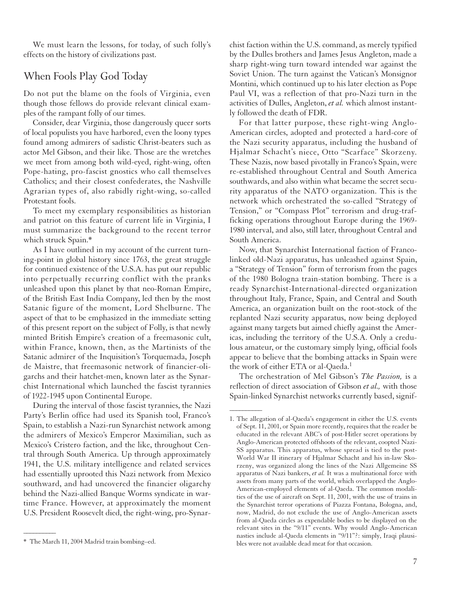We must learn the lessons, for today, of such folly's effects on the history of civilizations past.

## When Fools Play God Today

Do not put the blame on the fools of Virginia, even though those fellows do provide relevant clinical examples of the rampant folly of our times.

Consider, dear Virginia, those dangerously queer sorts of local populists you have harbored, even the loony types found among admirers of sadistic Christ-beaters such as actor Mel Gibson, and their like. Those are the wretches we meet from among both wild-eyed, right-wing, often Pope-hating, pro-fascist gnostics who call themselves Catholics; and their closest confederates, the Nashville Agrarian types of, also rabidly right-wing, so-called Protestant fools.

To meet my exemplary responsibilities as historian and patriot on this feature of current life in Virginia, I must summarize the background to the recent terror which struck Spain.\*

As I have outlined in my account of the current turning-point in global history since 1763, the great struggle for continued existence of the U.S.A. has put our republic into perpetually recurring conflict with the pranks unleashed upon this planet by that neo-Roman Empire, of the British East India Company, led then by the most Satanic figure of the moment, Lord Shelburne. The aspect of that to be emphasized in the immediate setting of this present report on the subject of Folly, is that newly minted British Empire's creation of a freemasonic cult, within France, known, then, as the Martinists of the Satanic admirer of the Inquisition's Torquemada, Joseph de Maistre, that freemasonic network of financier-oligarchs and their hatchet-men, known later as the Synarchist International which launched the fascist tyrannies of 1922-1945 upon Continental Europe.

During the interval of those fascist tyrannies, the Nazi Party's Berlin office had used its Spanish tool, Franco's Spain, to establish a Nazi-run Synarchist network among the admirers of Mexico's Emperor Maximilian, such as Mexico's Cristero faction, and the like, throughout Central through South America. Up through approximately 1941, the U.S. military intelligence and related services had essentially uprooted this Nazi network from Mexico southward, and had uncovered the financier oligarchy behind the Nazi-allied Banque Worms syndicate in wartime France. However, at approximately the moment U.S. President Roosevelt died, the right-wing, pro-Synar-

 $\overline{\phantom{a}}$ 

chist faction within the U.S. command, as merely typified by the Dulles brothers and James Jesus Angleton, made a sharp right-wing turn toward intended war against the Soviet Union. The turn against the Vatican's Monsignor Montini, which continued up to his later election as Pope Paul VI, was a reflection of that pro-Nazi turn in the activities of Dulles, Angleton, *et al.* which almost instantly followed the death of FDR.

For that latter purpose, these right-wing Anglo-American circles, adopted and protected a hard-core of the Nazi security apparatus, including the husband of Hjalmar Schacht's niece, Otto "Scarface" Skorzeny. These Nazis, now based pivotally in Franco's Spain, were re-established throughout Central and South America southwards, and also within what became the secret security apparatus of the NATO organization. This is the network which orchestrated the so-called "Strategy of Tension," or "Compass Plot" terrorism and drug-trafficking operations throughout Europe during the 1969- 1980 interval, and also, still later, throughout Central and South America.

Now, that Synarchist International faction of Francolinked old-Nazi apparatus, has unleashed against Spain, a "Strategy of Tension" form of terrorism from the pages of the 1980 Bologna train-station bombing. There is a ready Synarchist-International-directed organization throughout Italy, France, Spain, and Central and South America, an organization built on the root-stock of the replanted Nazi security apparatus, now being deployed against many targets but aimed chiefly against the Americas, including the territory of the U.S.A. Only a credulous amateur, or the customary simply lying, official fools appear to believe that the bombing attacks in Spain were the work of either ETA or al-Qaeda.<sup>1</sup>

The orchestration of Mel Gibson's *The Passion,* is a reflection of direct association of Gibson *et al.,* with those Spain-linked Synarchist networks currently based, signif-

 $\overline{\phantom{a}}$ 

<sup>\*</sup> The March 11, 2004 Madrid train bombing–ed.

<sup>1.</sup> The allegation of al-Qaeda's engagement in either the U.S. events of Sept. 11, 2001, or Spain more recently, requires that the reader be educated in the relevant ABC's of post-Hitler secret operations by Anglo-American protected offshoots of the relevant, coopted Nazi-SS apparatus. This apparatus, whose spread is tied to the post-World War II itinerary of Hjalmar Schacht and his in-law Skorzeny, was organized along the lines of the Nazi Allgemeine SS apparatus of Nazi bankers, *et al.* It was a multinational force with assets from many parts of the world, which overlapped the Anglo-American-employed elements of al-Qaeda. The common modalities of the use of aircraft on Sept. 11, 2001, with the use of trains in the Synarchist terror operations of Piazza Fontana, Bologna, and, now, Madrid, do not exclude the use of Anglo-American assets from al-Qaeda circles as expendable bodies to be displayed on the relevant sites in the "9/11" events. Why would Anglo-American nasties include al-Qaeda elements in "9/11"?: simply, Iraqi plausibles were not available dead meat for that occasion.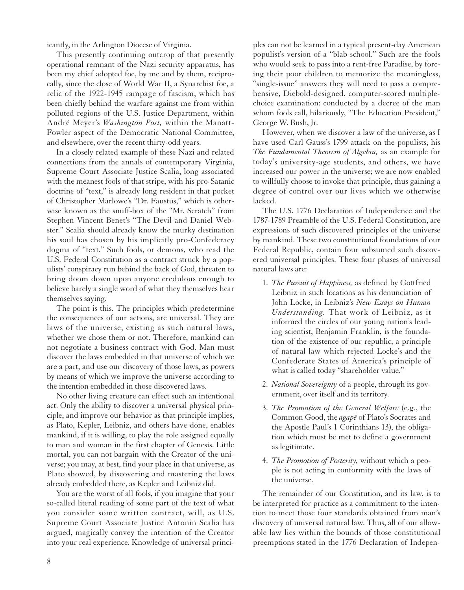icantly, in the Arlington Diocese of Virginia.

This presently continuing outcrop of that presently operational remnant of the Nazi security apparatus, has been my chief adopted foe, by me and by them, reciprocally, since the close of World War II, a Synarchist foe, a relic of the 1922-1945 rampage of fascism, which has been chiefly behind the warfare against me from within polluted regions of the U.S. Justice Department, within André Meyer's *Washington Post,* within the Manatt-Fowler aspect of the Democratic National Committee, and elsewhere, over the recent thirty-odd years.

In a closely related example of these Nazi and related connections from the annals of contemporary Virginia, Supreme Court Associate Justice Scalia, long associated with the meanest fools of that stripe, with his pro-Satanic doctrine of "text," is already long resident in that pocket of Christopher Marlowe's "Dr. Faustus," which is otherwise known as the snuff-box of the "Mr. Scratch" from Stephen Vincent Benet's "The Devil and Daniel Webster." Scalia should already know the murky destination his soul has chosen by his implicitly pro-Confederacy dogma of "text." Such fools, or demons, who read the U.S. Federal Constitution as a contract struck by a populists' conspiracy run behind the back of God, threaten to bring doom down upon anyone credulous enough to believe barely a single word of what they themselves hear themselves saying.

The point is this. The principles which predetermine the consequences of our actions, are universal. They are laws of the universe, existing as such natural laws, whether we chose them or not. Therefore, mankind can not negotiate a business contract with God. Man must discover the laws embedded in that universe of which we are a part, and use our discovery of those laws, as powers by means of which we improve the universe according to the intention embedded in those discovered laws.

No other living creature can effect such an intentional act. Only the ability to discover a universal physical principle, and improve our behavior as that principle implies, as Plato, Kepler, Leibniz, and others have done, enables mankind, if it is willing, to play the role assigned equally to man and woman in the first chapter of Genesis. Little mortal, you can not bargain with the Creator of the universe; you may, at best, find your place in that universe, as Plato showed, by discovering and mastering the laws already embedded there, as Kepler and Leibniz did.

You are the worst of all fools, if you imagine that your so-called literal reading of some part of the text of what you consider some written contract, will, as U.S. Supreme Court Associate Justice Antonin Scalia has argued, magically convey the intention of the Creator into your real experience. Knowledge of universal princi-

ples can not be learned in a typical present-day American populist's version of a "blab school." Such are the fools who would seek to pass into a rent-free Paradise, by forcing their poor children to memorize the meaningless, "single-issue" answers they will need to pass a comprehensive, Diebold-designed, computer-scored multiplechoice examination: conducted by a decree of the man whom fools call, hilariously, "The Education President," George W. Bush, Jr.

However, when we discover a law of the universe, as I have used Carl Gauss's 1799 attack on the populists, his *The Fundamental Theorem of Algebra,* as an example for today's university-age students, and others, we have increased our power in the universe; we are now enabled to willfully choose to invoke that principle, thus gaining a degree of control over our lives which we otherwise lacked.

The U.S. 1776 Declaration of Independence and the 1787-1789 Preamble of the U.S. Federal Constitution, are expressions of such discovered principles of the universe by mankind. These two constitutional foundations of our Federal Republic, contain four subsumed such discovered universal principles. These four phases of universal natural laws are:

- 1. *The Pursuit of Happiness,* as defined by Gottfried Leibniz in such locations as his denunciation of John Locke, in Leibniz's *New Essays on Human Understanding.* That work of Leibniz, as it informed the circles of our young nation's leading scientist, Benjamin Franklin, is the foundation of the existence of our republic, a principle of natural law which rejected Locke's and the Confederate States of America's principle of what is called today "shareholder value."
- 2. *National Sovereignty* of a people, through its government, over itself and its territory.
- 3. *The Promotion of the General Welfare* (e.g., the Common Good, the *agape* of Plato's Socrates and the Apostle Paul's 1 Corinthians 13), the obligation which must be met to define a government as legitimate.
- 4. *The Promotion of Posterity,* without which a people is not acting in conformity with the laws of the universe.

The remainder of our Constitution, and its law, is to be interpreted for practice as a commitment to the intention to meet those four standards obtained from man's discovery of universal natural law. Thus, all of our allowable law lies within the bounds of those constitutional preemptions stated in the 1776 Declaration of Indepen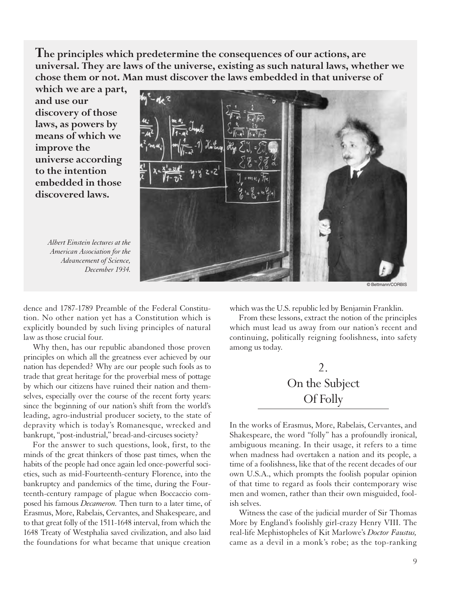**The principles which predetermine the consequences of our actions, are universal. They are laws of the universe, existing as such natural laws, whether we chose them or not. Man must discover the laws embedded in that universe of**

**which we are a part, and use our discovery of those laws, as powers by means of which we improve the universe according to the intention embedded in those discovered laws.**

> *Albert Einstein lectures at the American Association for the Advancement of Science, December 1934.*



© Bettmann/CORBIS

dence and 1787-1789 Preamble of the Federal Constitution. No other nation yet has a Constitution which is explicitly bounded by such living principles of natural law as those crucial four.

Why then, has our republic abandoned those proven principles on which all the greatness ever achieved by our nation has depended? Why are our people such fools as to trade that great heritage for the proverbial mess of pottage by which our citizens have ruined their nation and themselves, especially over the course of the recent forty years: since the beginning of our nation's shift from the world's leading, agro-industrial producer society, to the state of depravity which is today's Romanesque, wrecked and bankrupt, "post-industrial," bread-and-circuses society?

For the answer to such questions, look, first, to the minds of the great thinkers of those past times, when the habits of the people had once again led once-powerful societies, such as mid-Fourteenth-century Florence, into the bankruptcy and pandemics of the time, during the Fourteenth-century rampage of plague when Boccaccio composed his famous *Decameron.* Then turn to a later time, of Erasmus, More, Rabelais, Cervantes, and Shakespeare, and to that great folly of the 1511-1648 interval, from which the 1648 Treaty of Westphalia saved civilization, and also laid the foundations for what became that unique creation which was the U.S. republic led by Benjamin Franklin.

From these lessons, extract the notion of the principles which must lead us away from our nation's recent and continuing, politically reigning foolishness, into safety among us today.

# 2. On the Subject Of Folly

In the works of Erasmus, More, Rabelais, Cervantes, and Shakespeare, the word "folly" has a profoundly ironical, ambiguous meaning. In their usage, it refers to a time when madness had overtaken a nation and its people, a time of a foolishness, like that of the recent decades of our own U.S.A., which prompts the foolish popular opinion of that time to regard as fools their contemporary wise men and women, rather than their own misguided, foolish selves.

Witness the case of the judicial murder of Sir Thomas More by England's foolishly girl-crazy Henry VIII. The real-life Mephistopheles of Kit Marlowe's *Doctor Faustus,* came as a devil in a monk's robe; as the top-ranking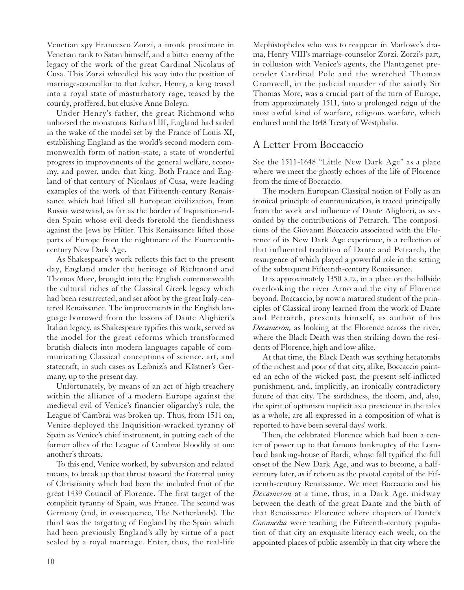Venetian spy Francesco Zorzi, a monk proximate in Venetian rank to Satan himself, and a bitter enemy of the legacy of the work of the great Cardinal Nicolaus of Cusa. This Zorzi wheedled his way into the position of marriage-councillor to that lecher, Henry, a king teased into a royal state of masturbatory rage, teased by the courtly, proffered, but elusive Anne Boleyn.

Under Henry's father, the great Richmond who unhorsed the monstrous Richard III, England had sailed in the wake of the model set by the France of Louis XI, establishing England as the world's second modern commonwealth form of nation-state, a state of wonderful progress in improvements of the general welfare, economy, and power, under that king. Both France and England of that century of Nicolaus of Cusa, were leading examples of the work of that Fifteenth-century Renaissance which had lifted all European civilization, from Russia westward, as far as the border of Inquisition-ridden Spain whose evil deeds foretold the fiendishness against the Jews by Hitler. This Renaissance lifted those parts of Europe from the nightmare of the Fourteenthcentury New Dark Age.

As Shakespeare's work reflects this fact to the present day, England under the heritage of Richmond and Thomas More, brought into the English commonwealth the cultural riches of the Classical Greek legacy which had been resurrected, and set afoot by the great Italy-centered Renaissance. The improvements in the English language borrowed from the lessons of Dante Alighieri's Italian legacy, as Shakespeare typifies this work, served as the model for the great reforms which transformed brutish dialects into modern languages capable of communicating Classical conceptions of science, art, and statecraft, in such cases as Leibniz's and Kästner's Germany, up to the present day.

Unfortunately, by means of an act of high treachery within the alliance of a modern Europe against the medieval evil of Venice's financier oligarchy's rule, the League of Cambrai was broken up. Thus, from 1511 on, Venice deployed the Inquisition-wracked tyranny of Spain as Venice's chief instrument, in putting each of the former allies of the League of Cambrai bloodily at one another's throats.

To this end, Venice worked, by subversion and related means, to break up that thrust toward the fraternal unity of Christianity which had been the included fruit of the great 1439 Council of Florence. The first target of the complicit tyranny of Spain, was France. The second was Germany (and, in consequence, The Netherlands). The third was the targetting of England by the Spain which had been previously England's ally by virtue of a pact sealed by a royal marriage. Enter, thus, the real-life Mephistopheles who was to reappear in Marlowe's drama, Henry VIII's marriage-counselor Zorzi. Zorzi's part, in collusion with Venice's agents, the Plantagenet pretender Cardinal Pole and the wretched Thomas Cromwell, in the judicial murder of the saintly Sir Thomas More, was a crucial part of the turn of Europe, from approximately 1511, into a prolonged reign of the most awful kind of warfare, religious warfare, which endured until the 1648 Treaty of Westphalia.

### A Letter From Boccaccio

See the 1511-1648 "Little New Dark Age" as a place where we meet the ghostly echoes of the life of Florence from the time of Boccaccio.

The modern European Classical notion of Folly as an ironical principle of communication, is traced principally from the work and influence of Dante Alighieri, as seconded by the contributions of Petrarch. The compositions of the Giovanni Boccaccio associated with the Florence of its New Dark Age experience, is a reflection of that influential tradition of Dante and Petrarch, the resurgence of which played a powerful role in the setting of the subsequent Fifteenth-century Renaissance.

It is approximately 1350 A.D., in a place on the hillside overlooking the river Arno and the city of Florence beyond. Boccaccio, by now a matured student of the principles of Classical irony learned from the work of Dante and Petrarch, presents himself, as author of his *Decameron,* as looking at the Florence across the river, where the Black Death was then striking down the residents of Florence, high and low alike.

At that time, the Black Death was scything hecatombs of the richest and poor of that city, alike, Boccaccio painted an echo of the wicked past, the present self-inflicted punishment, and, implicitly, an ironically contradictory future of that city. The sordidness, the doom, and, also, the spirit of optimism implicit as a prescience in the tales as a whole, are all expressed in a composition of what is reported to have been several days' work.

Then, the celebrated Florence which had been a center of power up to that famous bankruptcy of the Lombard banking-house of Bardi, whose fall typified the full onset of the New Dark Age, and was to become, a halfcentury later, as if reborn as the pivotal capital of the Fifteenth-century Renaissance. We meet Boccaccio and his *Decameron* at a time, thus, in a Dark Age, midway between the death of the great Dante and the birth of that Renaissance Florence where chapters of Dante's *Commedia* were teaching the Fifteenth-century population of that city an exquisite literacy each week, on the appointed places of public assembly in that city where the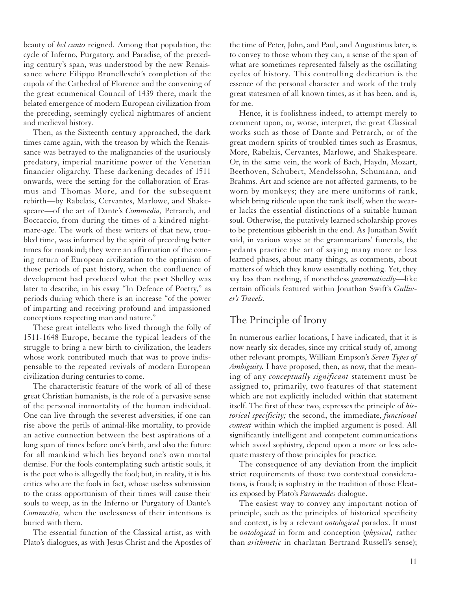beauty of *bel canto* reigned. Among that population, the cycle of Inferno, Purgatory, and Paradise, of the preceding century's span, was understood by the new Renaissance where Filippo Brunelleschi's completion of the cupola of the Cathedral of Florence and the convening of the great ecumenical Council of 1439 there, mark the belated emergence of modern European civilization from the preceding, seemingly cyclical nightmares of ancient and medieval history.

Then, as the Sixteenth century approached, the dark times came again, with the treason by which the Renaissance was betrayed to the malignancies of the usuriously predatory, imperial maritime power of the Venetian financier oligarchy. These darkening decades of 1511 onwards, were the setting for the collaboration of Erasmus and Thomas More, and for the subsequent rebirth—by Rabelais, Cervantes, Marlowe, and Shakespeare—of the art of Dante's *Commedia,* Petrarch, and Boccaccio, from during the times of a kindred nightmare-age. The work of these writers of that new, troubled time, was informed by the spirit of preceding better times for mankind; they were an affirmation of the coming return of European civilization to the optimism of those periods of past history, when the confluence of development had produced what the poet Shelley was later to describe, in his essay "In Defence of Poetry," as periods during which there is an increase "of the power of imparting and receiving profound and impassioned conceptions respecting man and nature."

These great intellects who lived through the folly of 1511-1648 Europe, became the typical leaders of the struggle to bring a new birth to civilization, the leaders whose work contributed much that was to prove indispensable to the repeated revivals of modern European civilization during centuries to come.

The characteristic feature of the work of all of these great Christian humanists, is the role of a pervasive sense of the personal immortality of the human individual. One can live through the severest adversities, if one can rise above the perils of animal-like mortality, to provide an active connection between the best aspirations of a long span of times before one's birth, and also the future for all mankind which lies beyond one's own mortal demise. For the fools contemplating such artistic souls, it is the poet who is allegedly the fool; but, in reality, it is his critics who are the fools in fact, whose useless submission to the crass opportunism of their times will cause their souls to weep, as in the Inferno or Purgatory of Dante's *Commedia,* when the uselessness of their intentions is buried with them.

The essential function of the Classical artist, as with Plato's dialogues, as with Jesus Christ and the Apostles of

the time of Peter, John, and Paul, and Augustinus later, is to convey to those whom they can, a sense of the span of what are sometimes represented falsely as the oscillating cycles of history. This controlling dedication is the essence of the personal character and work of the truly great statesmen of all known times, as it has been, and is, for me.

Hence, it is foolishness indeed, to attempt merely to comment upon, or, worse, interpret, the great Classical works such as those of Dante and Petrarch, or of the great modern spirits of troubled times such as Erasmus, More, Rabelais, Cervantes, Marlowe, and Shakespeare. Or, in the same vein, the work of Bach, Haydn, Mozart, Beethoven, Schubert, Mendelssohn, Schumann, and Brahms. Art and science are not affected garments, to be worn by monkeys; they are mere uniforms of rank, which bring ridicule upon the rank itself, when the wearer lacks the essential distinctions of a suitable human soul. Otherwise, the putatively learned scholarship proves to be pretentious gibberish in the end. As Jonathan Swift said, in various ways: at the grammarians' funerals, the pedants practice the art of saying many more or less learned phases, about many things, as comments, about matters of which they know essentially nothing. Yet, they say less than nothing, if nonetheless *grammatically*—like certain officials featured within Jonathan Swift's *Gulliver's Travels.*

#### The Principle of Irony

In numerous earlier locations, I have indicated, that it is now nearly six decades, since my critical study of, among other relevant prompts, William Empson's *Seven Types of Ambiguity.* I have proposed, then, as now, that the meaning of any *conceptually significant* statement must be assigned to, primarily, two features of that statement which are not explicitly included within that statement itself. The first of these two, expresses the principle of *historical specificity;* the second, the immediate, *functional context* within which the implied argument is posed. All significantly intelligent and competent communications which avoid sophistry, depend upon a more or less adequate mastery of those principles for practice.

The consequence of any deviation from the implicit strict requirements of those two contextual considerations, is fraud; is sophistry in the tradition of those Eleatics exposed by Plato's *Parmenides* dialogue.

The easiest way to convey any important notion of principle, such as the principles of historical specificity and context, is by a relevant *ontological* paradox. It must be *ontological* in form and conception (*physical,* rather than *arithmetic* in charlatan Bertrand Russell's sense);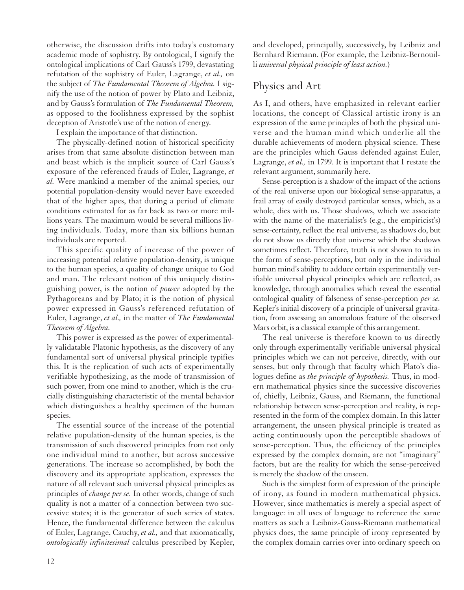otherwise, the discussion drifts into today's customary academic mode of sophistry. By ontological, I signify the ontological implications of Carl Gauss's 1799, devastating refutation of the sophistry of Euler, Lagrange, *et al.,* on the subject of *The Fundamental Theorem of Algebra.* I signify the use of the notion of power by Plato and Leibniz, and by Gauss's formulation of *The Fundamental Theorem,* as opposed to the foolishness expressed by the sophist deception of Aristotle's use of the notion of energy.

I explain the importance of that distinction.

The physically-defined notion of historical specificity arises from that same absolute distinction between man and beast which is the implicit source of Carl Gauss's exposure of the referenced frauds of Euler, Lagrange, *et al.* Were mankind a member of the animal species, our potential population-density would never have exceeded that of the higher apes, that during a period of climate conditions estimated for as far back as two or more millions years. The maximum would be several millions living individuals. Today, more than six billions human individuals are reported.

This specific quality of increase of the power of increasing potential relative population-density, is unique to the human species, a quality of change unique to God and man. The relevant notion of this uniquely distinguishing power, is the notion of *power* adopted by the Pythagoreans and by Plato; it is the notion of physical power expressed in Gauss's referenced refutation of Euler, Lagrange, *et al.,* in the matter of *The Fundamental Theorem of Algebra.*

This power is expressed as the power of experimentally validatable Platonic hypothesis, as the discovery of any fundamental sort of universal physical principle typifies this. It is the replication of such acts of experimentally verifiable hypothesizing, as the mode of transmission of such power, from one mind to another, which is the crucially distinguishing characteristic of the mental behavior which distinguishes a healthy specimen of the human species.

The essential source of the increase of the potential relative population-density of the human species, is the transmission of such discovered principles from not only one individual mind to another, but across successive generations. The increase so accomplished, by both the discovery and its appropriate application, expresses the nature of all relevant such universal physical principles as principles of *change per se.* In other words, change of such quality is not a matter of a connection between two successive states; it is the generator of such series of states. Hence, the fundamental difference between the calculus of Euler, Lagrange, Cauchy, *et al.,* and that axiomatically, *ontologically infinitesimal* calculus prescribed by Kepler, and developed, principally, successively, by Leibniz and Bernhard Riemann. (For example, the Leibniz-Bernouilli *universal physical principle of least action.*)

## Physics and Art

As I, and others, have emphasized in relevant earlier locations, the concept of Classical artistic irony is an expression of the same principles of both the physical universe and the human mind which underlie all the durable achievements of modern physical science. These are the principles which Gauss defended against Euler, Lagrange, *et al.,* in 1799. It is important that I restate the relevant argument, summarily here.

Sense-perception is a shadow of the impact of the actions of the real universe upon our biological sense-apparatus, a frail array of easily destroyed particular senses, which, as a whole, dies with us. Those shadows, which we associate with the name of the materialist's (e.g., the empiricist's) sense-certainty, reflect the real universe, as shadows do, but do not show us directly that universe which the shadows sometimes reflect. Therefore, truth is not shown to us in the form of sense-perceptions, but only in the individual human mind's ability to adduce certain experimentally verifiable universal physical principles which are reflected, as knowledge, through anomalies which reveal the essential ontological quality of falseness of sense-perception *per se.* Kepler's initial discovery of a principle of universal gravitation, from assessing an anomalous feature of the observed Mars orbit, is a classical example of this arrangement.

The real universe is therefore known to us directly only through experimentally verifiable universal physical principles which we can not perceive, directly, with our senses, but only through that faculty which Plato's dialogues define as *the principle of hypothesis.* Thus, in modern mathematical physics since the successive discoveries of, chiefly, Leibniz, Gauss, and Riemann, the functional relationship between sense-perception and reality, is represented in the form of the complex domain. In this latter arrangement, the unseen physical principle is treated as acting continuously upon the perceptible shadows of sense-perception. Thus, the efficiency of the principles expressed by the complex domain, are not "imaginary" factors, but are the reality for which the sense-perceived is merely the shadow of the unseen.

Such is the simplest form of expression of the principle of irony, as found in modern mathematical physics. However, since mathematics is merely a special aspect of language: in all uses of language to reference the same matters as such a Leibniz-Gauss-Riemann mathematical physics does, the same principle of irony represented by the complex domain carries over into ordinary speech on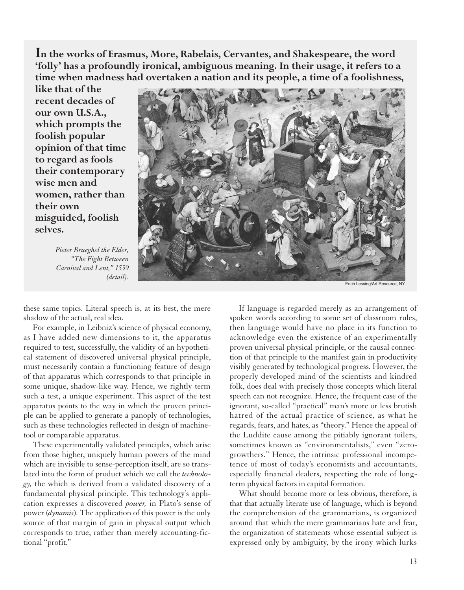**In the works of Erasmus, More, Rabelais, Cervantes, and Shakespeare, the word 'folly' has a profoundly ironical, ambiguous meaning. In their usage, it refers to a time when madness had overtaken a nation and its people, a time of a foolishness,**

**like that of the recent decades of our own U.S.A., which prompts the foolish popular opinion of that time to regard as fools their contemporary wise men and women, rather than their own misguided, foolish selves.**

*Pieter Brueghel the Elder, "The Fight Between Carnival and Lent," 1559 (detail).*



Erich Lessing/Art Resource, NY

these same topics. Literal speech is, at its best, the mere shadow of the actual, real idea.

For example, in Leibniz's science of physical economy, as I have added new dimensions to it, the apparatus required to test, successfully, the validity of an hypothetical statement of discovered universal physical principle, must necessarily contain a functioning feature of design of that apparatus which corresponds to that principle in some unique, shadow-like way. Hence, we rightly term such a test, a unique experiment. This aspect of the test apparatus points to the way in which the proven principle can be applied to generate a panoply of technologies, such as these technologies reflected in design of machinetool or comparable apparatus.

These experimentally validated principles, which arise from those higher, uniquely human powers of the mind which are invisible to sense-perception itself, are so translated into the form of product which we call the *technology,* the which is derived from a validated discovery of a fundamental physical principle. This technology's application expresses a discovered *power,* in Plato's sense of power (*dynamis*). The application of this power is the only source of that margin of gain in physical output which corresponds to true, rather than merely accounting-fictional "profit."

If language is regarded merely as an arrangement of spoken words according to some set of classroom rules, then language would have no place in its function to acknowledge even the existence of an experimentally proven universal physical principle, or the causal connection of that principle to the manifest gain in productivity visibly generated by technological progress. However, the properly developed mind of the scientists and kindred folk, does deal with precisely those concepts which literal speech can not recognize. Hence, the frequent case of the ignorant, so-called "practical" man's more or less brutish hatred of the actual practice of science, as what he regards, fears, and hates, as "theory." Hence the appeal of the Luddite cause among the pitiably ignorant toilers, sometimes known as "environmentalists," even "zerogrowthers." Hence, the intrinsic professional incompetence of most of today's economists and accountants, especially financial dealers, respecting the role of longterm physical factors in capital formation.

What should become more or less obvious, therefore, is that that actually literate use of language, which is beyond the comprehension of the grammarians, is organized around that which the mere grammarians hate and fear, the organization of statements whose essential subject is expressed only by ambiguity, by the irony which lurks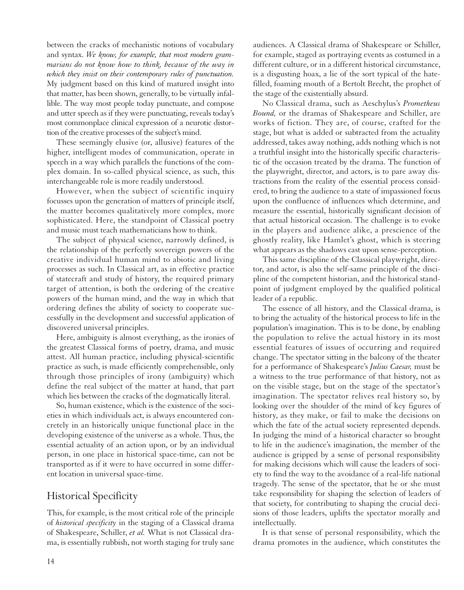between the cracks of mechanistic notions of vocabulary and syntax. *We know, for example, that most modern grammarians do not know how to think, because of the way in which they insist on their contemporary rules of punctuation.* My judgment based on this kind of matured insight into that matter, has been shown, generally, to be virtually infallible. The way most people today punctuate, and compose and utter speech as if they were punctuating, reveals today's most commonplace clinical expression of a neurotic distortion of the creative processes of the subject's mind.

These seemingly elusive (or, allusive) features of the higher, intelligent modes of communication, operate in speech in a way which parallels the functions of the complex domain. In so-called physical science, as such, this interchangeable role is more readily understood.

However, when the subject of scientific inquiry focusses upon the generation of matters of principle itself, the matter becomes qualitatively more complex, more sophisticated. Here, the standpoint of Classical poetry and music must teach mathematicians how to think.

The subject of physical science, narrowly defined, is the relationship of the perfectly sovereign powers of the creative individual human mind to abiotic and living processes as such. In Classical art, as in effective practice of statecraft and study of history, the required primary target of attention, is both the ordering of the creative powers of the human mind, and the way in which that ordering defines the ability of society to cooperate successfully in the development and successful application of discovered universal principles.

Here, ambiguity is almost everything, as the ironies of the greatest Classical forms of poetry, drama, and music attest. All human practice, including physical-scientific practice as such, is made efficiently comprehensible, only through those principles of irony (ambiguity) which define the real subject of the matter at hand, that part which lies between the cracks of the dogmatically literal.

So, human existence, which is the existence of the societies in which individuals act, is always encountered concretely in an historically unique functional place in the developing existence of the universe as a whole. Thus, the essential actuality of an action upon, or by an individual person, in one place in historical space-time, can not be transported as if it were to have occurred in some different location in universal space-time.

## Historical Specificity

This, for example, is the most critical role of the principle of *historical specificity* in the staging of a Classical drama of Shakespeare, Schiller, *et al.* What is not Classical drama, is essentially rubbish, not worth staging for truly sane audiences. A Classical drama of Shakespeare or Schiller, for example, staged as portraying events as costumed in a different culture, or in a different historical circumstance, is a disgusting hoax, a lie of the sort typical of the hatefilled, foaming mouth of a Bertolt Brecht, the prophet of the stage of the existentially absurd.

No Classical drama, such as Aeschylus's *Prometheus Bound,* or the dramas of Shakespeare and Schiller, are works of fiction. They are, of course, crafted for the stage, but what is added or subtracted from the actuality addressed, takes away nothing, adds nothing which is not a truthful insight into the historically specific characteristic of the occasion treated by the drama. The function of the playwright, director, and actors, is to pare away distractions from the reality of the essential process considered, to bring the audience to a state of impassioned focus upon the confluence of influences which determine, and measure the essential, historically significant decision of that actual historical occasion. The challenge is to evoke in the players and audience alike, a prescience of the ghostly reality, like Hamlet's ghost, which is steering what appears as the shadows cast upon sense-perception.

This same discipline of the Classical playwright, director, and actor, is also the self-same principle of the discipline of the competent historian, and the historical standpoint of judgment employed by the qualified political leader of a republic.

The essence of all history, and the Classical drama, is to bring the actuality of the historical process to life in the population's imagination. This is to be done, by enabling the population to relive the actual history in its most essential features of issues of occurring and required change. The spectator sitting in the balcony of the theater for a performance of Shakespeare's *Julius Caesar,* must be a witness to the true performance of that history, not as on the visible stage, but on the stage of the spectator's imagination. The spectator relives real history so, by looking over the shoulder of the mind of key figures of history, as they make, or fail to make the decisions on which the fate of the actual society represented depends. In judging the mind of a historical character so brought to life in the audience's imagination, the member of the audience is gripped by a sense of personal responsibility for making decisions which will cause the leaders of society to find the way to the avoidance of a real-life national tragedy. The sense of the spectator, that he or she must take responsibility for shaping the selection of leaders of that society, for contributing to shaping the crucial decisions of those leaders, uplifts the spectator morally and intellectually.

It is that sense of personal responsibility, which the drama promotes in the audience, which constitutes the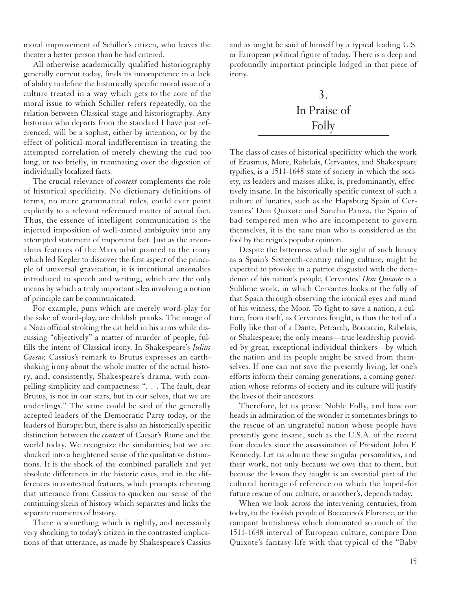moral improvement of Schiller's citizen, who leaves the theater a better person than he had entered.

All otherwise academically qualified historiography generally current today, finds its incompetence in a lack of ability to define the historically specific moral issue of a culture treated in a way which gets to the core of the moral issue to which Schiller refers repeatedly, on the relation between Classical stage and historiography. Any historian who departs from the standard I have just referenced, will be a sophist, either by intention, or by the effect of political-moral indifferentism in treating the attempted correlation of merely chewing the cud too long, or too briefly, in ruminating over the digestion of individually localized facts.

The crucial relevance of *context* complements the role of historical specificity. No dictionary definitions of terms, no mere grammatical rules, could ever point explicitly to a relevant referenced matter of actual fact. Thus, the essence of intelligent communication is the injected imposition of well-aimed ambiguity into any attempted statement of important fact. Just as the anomalous features of the Mars orbit pointed to the irony which led Kepler to discover the first aspect of the principle of universal gravitation, it is intentional anomalies introduced to speech and writing, which are the only means by which a truly important idea involving a notion of principle can be communicated.

For example, puns which are merely word-play for the sake of word-play, are childish pranks. The image of a Nazi official stroking the cat held in his arms while discussing "objectively" a matter of murder of people, fulfills the intent of Classical irony. In Shakespeare's *Julius Caesar,* Cassius's remark to Brutus expresses an earthshaking irony about the whole matter of the actual history, and, consistently, Shakespeare's drama, with compelling simplicity and compactness: ". . . The fault, dear Brutus, is not in our stars, but in our selves, that we are underlings." The same could be said of the generally accepted leaders of the Democratic Party today, or the leaders of Europe; but, there is also an historically specific distinction between the *context* of Caesar's Rome and the world today. We recognize the similarities; but we are shocked into a heightened sense of the qualitative distinctions. It is the shock of the combined parallels and yet absolute differences in the historic cases, and in the differences in contextual features, which prompts rehearing that utterance from Cassius to quicken our sense of the continuing skein of history which separates and links the separate moments of history.

There is something which is rightly, and necessarily very shocking to today's citizen in the contrasted implications of that utterance, as made by Shakespeare's Cassius and as might be said of himself by a typical leading U.S. or European political figure of today. There is a deep and profoundly important principle lodged in that piece of irony.

# 3. In Praise of Folly

The class of cases of historical specificity which the work of Erasmus, More, Rabelais, Cervantes, and Shakespeare typifies, is a 1511-1648 state of society in which the society, its leaders and masses alike, is, predominantly, effectively insane. In the historically specific context of such a culture of lunatics, such as the Hapsburg Spain of Cervantes' Don Quixote and Sancho Panza, the Spain of bad-tempered men who are incompetent to govern themselves, it is the sane man who is considered as the fool by the reign's popular opinion.

Despite the bitterness which the sight of such lunacy as a Spain's Sixteenth-century ruling culture, might be expected to provoke in a patriot disgusted with the decadence of his nation's people, Cervantes' *Don Quixote* is a Sublime work, in which Cervantes looks at the folly of that Spain through observing the ironical eyes and mind of his witness, the Moor. To fight to save a nation, a culture, from itself, as Cervantes fought, is thus the toil of a Folly like that of a Dante, Petrarch, Boccaccio, Rabelais, or Shakespeare; the only means—true leadership provided by great, exceptional individual thinkers—by which the nation and its people might be saved from themselves. If one can not save the presently living, let one's efforts inform their coming generations, a coming generation whose reforms of society and its culture will justify the lives of their ancestors.

Therefore, let us praise Noble Folly, and bow our heads in admiration of the wonder it sometimes brings to the rescue of an ungrateful nation whose people have presently gone insane, such as the U.S.A. of the recent four decades since the assassination of President John F. Kennedy. Let us admire these singular personalities, and their work, not only because we owe that to them, but because the lesson they taught is an essential part of the cultural heritage of reference on which the hoped-for future rescue of our culture, or another's, depends today.

When we look across the intervening centuries, from today, to the foolish people of Boccaccio's Florence, or the rampant brutishness which dominated so much of the 1511-1648 interval of European culture, compare Don Quixote's fantasy-life with that typical of the "Baby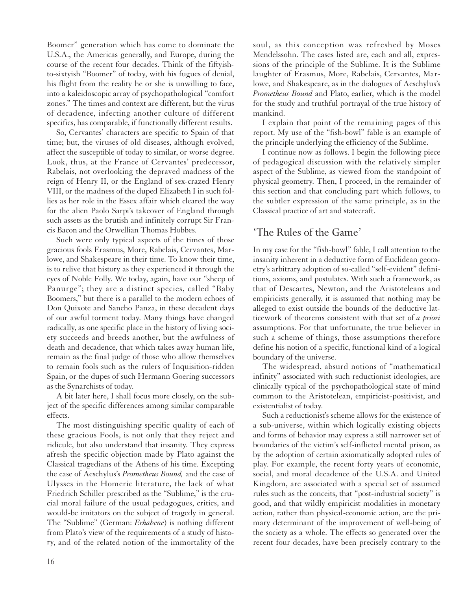Boomer" generation which has come to dominate the U.S.A., the Americas generally, and Europe, during the course of the recent four decades. Think of the fiftyishto-sixtyish "Boomer" of today, with his fugues of denial, his flight from the reality he or she is unwilling to face, into a kaleidoscopic array of psychopathological "comfort zones." The times and context are different, but the virus of decadence, infecting another culture of different specifics, has comparable, if functionally different results.

So, Cervantes' characters are specific to Spain of that time; but, the viruses of old diseases, although evolved, affect the susceptible of today to similar, or worse degree. Look, thus, at the France of Cervantes' predecessor, Rabelais, not overlooking the depraved madness of the reign of Henry II, or the England of sex-crazed Henry VIII, or the madness of the duped Elizabeth I in such follies as her role in the Essex affair which cleared the way for the alien Paolo Sarpi's takeover of England through such assets as the brutish and infinitely corrupt Sir Francis Bacon and the Orwellian Thomas Hobbes.

Such were only typical aspects of the times of those gracious fools Erasmus, More, Rabelais, Cervantes, Marlowe, and Shakespeare in their time. To know their time, is to relive that history as they experienced it through the eyes of Noble Folly. We today, again, have our "sheep of Panurge"; they are a distinct species, called "Baby Boomers," but there is a parallel to the modern echoes of Don Quixote and Sancho Panza, in these decadent days of our awful torment today. Many things have changed radically, as one specific place in the history of living society succeeds and breeds another, but the awfulness of death and decadence, that which takes away human life, remain as the final judge of those who allow themselves to remain fools such as the rulers of Inquisition-ridden Spain, or the dupes of such Hermann Goering successors as the Synarchists of today.

A bit later here, I shall focus more closely, on the subject of the specific differences among similar comparable effects.

The most distinguishing specific quality of each of these gracious Fools, is not only that they reject and ridicule, but also understand that insanity. They express afresh the specific objection made by Plato against the Classical tragedians of the Athens of his time. Excepting the case of Aeschylus's *Prometheus Bound,* and the case of Ulysses in the Homeric literature, the lack of what Friedrich Schiller prescribed as the "Sublime," is the crucial moral failure of the usual pedagogues, critics, and would-be imitators on the subject of tragedy in general. The "Sublime" (German: *Erhabene*) is nothing different from Plato's view of the requirements of a study of history, and of the related notion of the immortality of the

soul, as this conception was refreshed by Moses Mendelssohn. The cases listed are, each and all, expressions of the principle of the Sublime. It is the Sublime laughter of Erasmus, More, Rabelais, Cervantes, Marlowe, and Shakespeare, as in the dialogues of Aeschylus's *Prometheus Bound* and Plato, earlier, which is the model for the study and truthful portrayal of the true history of mankind.

I explain that point of the remaining pages of this report. My use of the "fish-bowl" fable is an example of the principle underlying the efficiency of the Sublime.

I continue now as follows. I begin the following piece of pedagogical discussion with the relatively simpler aspect of the Sublime, as viewed from the standpoint of physical geometry. Then, I proceed, in the remainder of this section and that concluding part which follows, to the subtler expression of the same principle, as in the Classical practice of art and statecraft.

#### 'The Rules of the Game'

In my case for the "fish-bowl" fable, I call attention to the insanity inherent in a deductive form of Euclidean geometry's arbitrary adoption of so-called "self-evident" definitions, axioms, and postulates. With such a framework, as that of Descartes, Newton, and the Aristoteleans and empiricists generally, it is assumed that nothing may be alleged to exist outside the bounds of the deductive latticework of theorems consistent with that set of *a priori* assumptions. For that unfortunate, the true believer in such a scheme of things, those assumptions therefore define his notion of a specific, functional kind of a logical boundary of the universe.

The widespread, absurd notions of "mathematical infinity" associated with such reductionist ideologies, are clinically typical of the psychopathological state of mind common to the Aristotelean, empiricist-positivist, and existentialist of today.

Such a reductionist's scheme allows for the existence of a sub-universe, within which logically existing objects and forms of behavior may express a still narrower set of boundaries of the victim's self-inflicted mental prison, as by the adoption of certain axiomatically adopted rules of play. For example, the recent forty years of economic, social, and moral decadence of the U.S.A. and United Kingdom, are associated with a special set of assumed rules such as the conceits, that "post-industrial society" is good, and that wildly empiricist modalities in monetary action, rather than physical-economic action, are the primary determinant of the improvement of well-being of the society as a whole. The effects so generated over the recent four decades, have been precisely contrary to the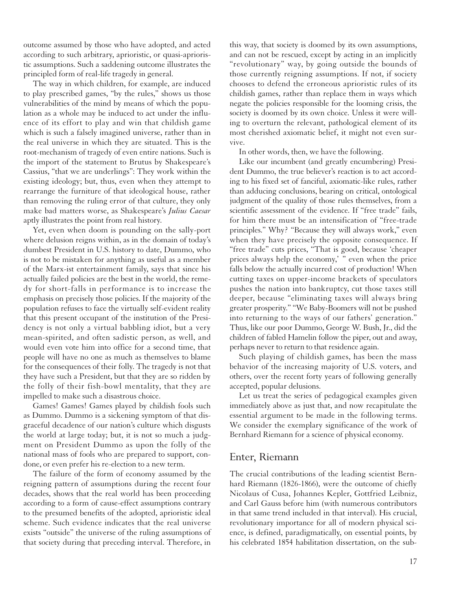outcome assumed by those who have adopted, and acted according to such arbitrary, aprioristic, or quasi-aprioristic assumptions. Such a saddening outcome illustrates the principled form of real-life tragedy in general.

The way in which children, for example, are induced to play prescribed games, "by the rules," shows us those vulnerabilities of the mind by means of which the population as a whole may be induced to act under the influence of its effort to play and win that childish game which is such a falsely imagined universe, rather than in the real universe in which they are situated. This is the root-mechanism of tragedy of even entire nations. Such is the import of the statement to Brutus by Shakespeare's Cassius, "that we are underlings": They work within the existing ideology; but, thus, even when they attempt to rearrange the furniture of that ideological house, rather than removing the ruling error of that culture, they only make bad matters worse, as Shakespeare's *Julius Caesar* aptly illustrates the point from real history.

Yet, even when doom is pounding on the sally-port where delusion reigns within, as in the domain of today's dumbest President in U.S. history to date, Dummo, who is not to be mistaken for anything as useful as a member of the Marx-ist entertainment family, says that since his actually failed policies are the best in the world, the remedy for short-falls in performance is to increase the emphasis on precisely those policies. If the majority of the population refuses to face the virtually self-evident reality that this present occupant of the institution of the Presidency is not only a virtual babbling idiot, but a very mean-spirited, and often sadistic person, as well, and would even vote him into office for a second time, that people will have no one as much as themselves to blame for the consequences of their folly. The tragedy is not that they have such a President, but that they are so ridden by the folly of their fish-bowl mentality, that they are impelled to make such a disastrous choice.

Games! Games! Games played by childish fools such as Dummo. Dummo is a sickening symptom of that disgraceful decadence of our nation's culture which disgusts the world at large today; but, it is not so much a judgment on President Dummo as upon the folly of the national mass of fools who are prepared to support, condone, or even prefer his re-election to a new term.

The failure of the form of economy assumed by the reigning pattern of assumptions during the recent four decades, shows that the real world has been proceeding according to a form of cause-effect assumptions contrary to the presumed benefits of the adopted, aprioristic ideal scheme. Such evidence indicates that the real universe exists "outside" the universe of the ruling assumptions of that society during that preceding interval. Therefore, in

this way, that society is doomed by its own assumptions, and can not be rescued, except by acting in an implicitly "revolutionary" way, by going outside the bounds of those currently reigning assumptions. If not, if society chooses to defend the erroneous aprioristic rules of its childish games, rather than replace them in ways which negate the policies responsible for the looming crisis, the society is doomed by its own choice. Unless it were willing to overturn the relevant, pathological element of its most cherished axiomatic belief, it might not even survive.

In other words, then, we have the following.

Like our incumbent (and greatly encumbering) President Dummo, the true believer's reaction is to act according to his fixed set of fanciful, axiomatic-like rules, rather than adducing conclusions, bearing on critical, ontological judgment of the quality of those rules themselves, from a scientific assessment of the evidence. If "free trade" fails, for him there must be an intensification of "free-trade principles." Why? "Because they will always work," even when they have precisely the opposite consequence. If "free trade" cuts prices, "That is good, because 'cheaper prices always help the economy,' " even when the price falls below the actually incurred cost of production! When cutting taxes on upper-income brackets of speculators pushes the nation into bankruptcy, cut those taxes still deeper, because "eliminating taxes will always bring greater prosperity." "We Baby-Boomers will not be pushed into returning to the ways of our fathers' generation." Thus, like our poor Dummo, George W. Bush, Jr., did the children of fabled Hamelin follow the piper, out and away, perhaps never to return to that residence again.

Such playing of childish games, has been the mass behavior of the increasing majority of U.S. voters, and others, over the recent forty years of following generally accepted, popular delusions.

Let us treat the series of pedagogical examples given immediately above as just that, and now recapitulate the essential argument to be made in the following terms. We consider the exemplary significance of the work of Bernhard Riemann for a science of physical economy.

#### Enter, Riemann

The crucial contributions of the leading scientist Bernhard Riemann (1826-1866), were the outcome of chiefly Nicolaus of Cusa, Johannes Kepler, Gottfried Leibniz, and Carl Gauss before him (with numerous contributors in that same trend included in that interval). His crucial, revolutionary importance for all of modern physical science, is defined, paradigmatically, on essential points, by his celebrated 1854 habilitation dissertation, on the sub-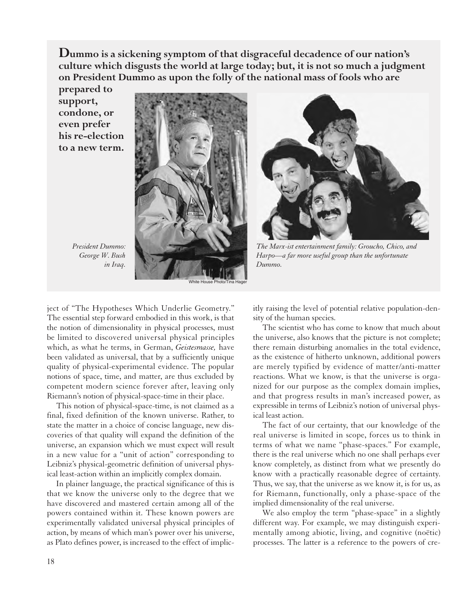**Dummo is a sickening symptom of that disgraceful decadence of our nation's culture which disgusts the world at large today; but, it is not so much a judgment on President Dummo as upon the folly of the national mass of fools who are**

**prepared to support, condone, or even prefer his re-election to a new term.**



*President Dummo: George W. Bush in Iraq.*



*The Marx-ist entertainment family: Groucho, Chico, and Harpo—a far more useful group than the unfortunate Dummo.*

ject of "The Hypotheses Which Underlie Geometry." The essential step forward embodied in this work, is that the notion of dimensionality in physical processes, must be limited to discovered universal physical principles which, as what he terms, in German, *Geistesmasse,* have been validated as universal, that by a sufficiently unique quality of physical-experimental evidence. The popular notions of space, time, and matter, are thus excluded by competent modern science forever after, leaving only Riemann's notion of physical-space-time in their place.

This notion of physical-space-time, is not claimed as a final, fixed definition of the known universe. Rather, to state the matter in a choice of concise language, new discoveries of that quality will expand the definition of the universe, an expansion which we must expect will result in a new value for a "unit of action" corresponding to Leibniz's physical-geometric definition of universal physical least-action within an implicitly complex domain.

In plainer language, the practical significance of this is that we know the universe only to the degree that we have discovered and mastered certain among all of the powers contained within it. These known powers are experimentally validated universal physical principles of action, by means of which man's power over his universe, as Plato defines power, is increased to the effect of implic-

itly raising the level of potential relative population-density of the human species.

The scientist who has come to know that much about the universe, also knows that the picture is not complete; there remain disturbing anomalies in the total evidence, as the existence of hitherto unknown, additional powers are merely typified by evidence of matter/anti-matter reactions. What we know, is that the universe is organized for our purpose as the complex domain implies, and that progress results in man's increased power, as expressible in terms of Leibniz's notion of universal physical least action.

The fact of our certainty, that our knowledge of the real universe is limited in scope, forces us to think in terms of what we name "phase-spaces." For example, there is the real universe which no one shall perhaps ever know completely, as distinct from what we presently do know with a practically reasonable degree of certainty. Thus, we say, that the universe as we know it, is for us, as for Riemann, functionally, only a phase-space of the implied dimensionality of the real universe.

We also employ the term "phase-space" in a slightly different way. For example, we may distinguish experimentally among abiotic, living, and cognitive (noëtic) processes. The latter is a reference to the powers of cre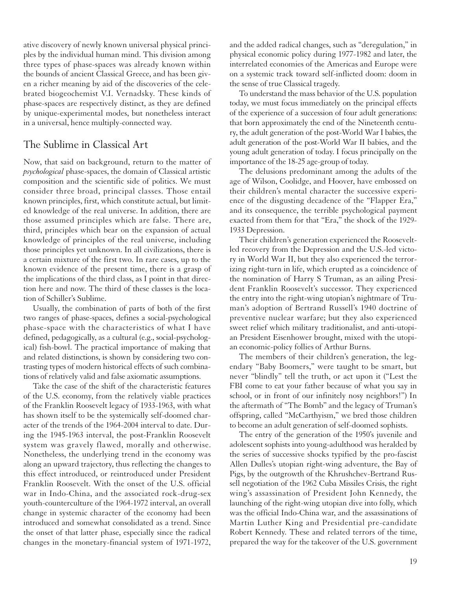ative discovery of newly known universal physical principles by the individual human mind. This division among three types of phase-spaces was already known within the bounds of ancient Classical Greece, and has been given a richer meaning by aid of the discoveries of the celebrated biogeochemist V.I. Vernadsky. These kinds of phase-spaces are respectively distinct, as they are defined by unique-experimental modes, but nonetheless interact in a universal, hence multiply-connected way.

#### The Sublime in Classical Art

Now, that said on background, return to the matter of *psychological* phase-spaces, the domain of Classical artistic composition and the scientific side of politics. We must consider three broad, principal classes. Those entail known principles, first, which constitute actual, but limited knowledge of the real universe. In addition, there are those assumed principles which are false. There are, third, principles which bear on the expansion of actual knowledge of principles of the real universe, including those principles yet unknown. In all civilizations, there is a certain mixture of the first two. In rare cases, up to the known evidence of the present time, there is a grasp of the implications of the third class, as I point in that direction here and now. The third of these classes is the location of Schiller's Sublime.

Usually, the combination of parts of both of the first two ranges of phase-spaces, defines a social-psychological phase-space with the characteristics of what I have defined, pedagogically, as a cultural (e.g., social-psychological) fish-bowl. The practical importance of making that and related distinctions, is shown by considering two contrasting types of modern historical effects of such combinations of relatively valid and false axiomatic assumptions.

Take the case of the shift of the characteristic features of the U.S. economy, from the relatively viable practices of the Franklin Roosevelt legacy of 1933-1963, with what has shown itself to be the systemically self-doomed character of the trends of the 1964-2004 interval to date. During the 1945-1963 interval, the post-Franklin Roosevelt system was gravely flawed, morally and otherwise. Nonetheless, the underlying trend in the economy was along an upward trajectory, thus reflecting the changes to this effect introduced, or reintroduced under President Franklin Roosevelt. With the onset of the U.S. official war in Indo-China, and the associated rock-drug-sex youth-counterculture of the 1964-1972 interval, an overall change in systemic character of the economy had been introduced and somewhat consolidated as a trend. Since the onset of that latter phase, especially since the radical changes in the monetary-financial system of 1971-1972, and the added radical changes, such as "deregulation," in physical economic policy during 1977-1982 and later, the interrelated economies of the Americas and Europe were on a systemic track toward self-inflicted doom: doom in the sense of true Classical tragedy.

To understand the mass behavior of the U.S. population today, we must focus immediately on the principal effects of the experience of a succession of four adult generations: that born approximately the end of the Nineteenth century, the adult generation of the post-World War I babies, the adult generation of the post-World War II babies, and the young adult generation of today. I focus principally on the importance of the 18-25 age-group of today.

The delusions predominant among the adults of the age of Wilson, Coolidge, and Hoover, have embossed on their children's mental character the successive experience of the disgusting decadence of the "Flapper Era," and its consequence, the terrible psychological payment exacted from them for that "Era," the shock of the 1929- 1933 Depression.

Their children's generation experienced the Rooseveltled recovery from the Depression and the U.S.-led victory in World War II, but they also experienced the terrorizing right-turn in life, which erupted as a coincidence of the nomination of Harry S Truman, as an ailing President Franklin Roosevelt's successor. They experienced the entry into the right-wing utopian's nightmare of Truman's adoption of Bertrand Russell's 1940 doctrine of preventive nuclear warfare; but they also experienced sweet relief which military traditionalist, and anti-utopian President Eisenhower brought, mixed with the utopian economic-policy follies of Arthur Burns.

The members of their children's generation, the legendary "Baby Boomers," were taught to be smart, but never "blindly" tell the truth, or act upon it ("Lest the FBI come to eat your father because of what you say in school, or in front of our infinitely nosy neighbors!") In the aftermath of "The Bomb" and the legacy of Truman's offspring, called "McCarthyism," we bred those children to become an adult generation of self-doomed sophists.

The entry of the generation of the 1950's juvenile and adolescent sophists into young-adulthood was heralded by the series of successive shocks typified by the pro-fascist Allen Dulles's utopian right-wing adventure, the Bay of Pigs, by the outgrowth of the Khrushchev-Bertrand Russell negotiation of the 1962 Cuba Missiles Crisis, the right wing's assassination of President John Kennedy, the launching of the right-wing utopian dive into folly, which was the official Indo-China war, and the assassinations of Martin Luther King and Presidential pre-candidate Robert Kennedy. These and related terrors of the time, prepared the way for the takeover of the U.S. government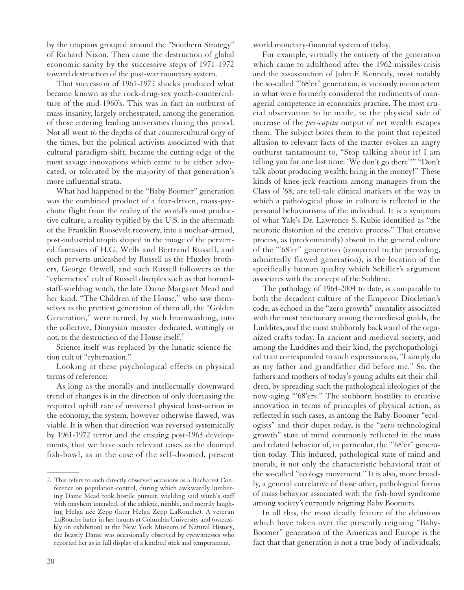by the utopians grouped around the "Southern Strategy" of Richard Nixon. Then came the destruction of global economic sanity by the successive steps of 1971-1972 toward destruction of the post-war monetary system.

That succession of 1961-1972 shocks produced what became known as the rock-drug-sex youth-counterculture of the mid-1960's. This was in fact an outburst of mass-insanity, largely orchestrated, among the generation of those entering leading universities during this period. Not all went to the depths of that countercultural orgy of the times, but the political activists associated with that cultural paradigm-shift, became the cutting edge of the most savage innovations which came to be either advocated, or tolerated by the majority of that generation's more influential strata.

What had happened to the "Baby Boomer" generation was the combined product of a fear-driven, mass-psychotic flight from the reality of the world's most productive culture, a reality typified by the U.S. in the aftermath of the Franklin Roosevelt recovery, into a nuclear-armed, post-industrial utopia shaped in the image of the perverted fantasies of H.G. Wells and Bertrand Russell, and such perverts unleashed by Russell as the Huxley brothers, George Orwell, and such Russell followers as the "cybernetics" cult of Russell disciples such as that hornedstaff-wielding witch, the late Dame Margaret Mead and her kind. "The Children of the House," who saw themselves as the prettiest generation of them all, the "Golden Generation," were turned, by such brainwashing, into the collective, Dionysian monster dedicated, wittingly or not, to the destruction of the House itself.2

Science itself was replaced by the lunatic science-fiction cult of "cybernation."

Looking at these psychological effects in physical terms of reference:

As long as the morally and intellectually downward trend of changes is in the direction of only decreasing the required uphill rate of universal physical least-action in the economy, the system, however otherwise flawed, was viable. It is when that direction was reversed systemically by 1961-1972 terror and the ensuing post-1963 developments, that we have such relevant cases as the doomed fish-bowl, as in the case of the self-doomed, present

20

 $\overline{\phantom{a}}$ 

world monetary-financial system of today.

For example, virtually the entirety of the generation which came to adulthood after the 1962 missiles-crisis and the assassination of John F. Kennedy, most notably the so-called "'68'er" generation, is viciously incompetent in what were formerly considered the rudiments of managerial competence in economics practice. The most crucial observation to be made, is: the physical side of increase of the *per-capita* output of net wealth escapes them. The subject bores them to the point that repeated allusion to relevant facts of the matter evokes an angry outburst tantamount to, "Stop talking about it! I am telling you for one last time: 'We don't go there'!" "Don't talk about producing wealth; bring in the money!" These kinds of knee-jerk reactions among managers from the Class of '68, are tell-tale clinical markers of the way in which a pathological phase in culture is reflected in the personal behaviorisms of the individual. It is a symptom of what Yale's Dr. Lawrence S. Kubie identified as "the neurotic distortion of the creative process." That creative process, as (predominantly) absent in the general culture of the "'68'er" generation (compared to the preceding, admittedly flawed generation), is the location of the specifically human quality which Schiller's argument associates with the concept of the Sublime.

The pathology of 1964-2004 to date, is comparable to both the decadent culture of the Emperor Diocletian's code, as echoed in the "zero growth" mentality associated with the most reactionary among the medieval guilds, the Luddites, and the most stubbornly backward of the organized crafts today. In ancient and medieval society, and among the Luddites and their kind, the psychopathological trait corresponded to such expressions as, "I simply do as my father and grandfather did before me." So, the fathers and mothers of today's young adults eat their children, by spreading such the pathological ideologies of the now-aging "'68'ers." The stubborn hostility to creative innovation in terms of principles of physical action, as reflected in such cases, as among the Baby-Boomer "ecologists" and their dupes today, is the "zero technological growth" state of mind commonly reflected in the mass and related behavior of, in particular, the "68'er" generation today. This induced, pathological state of mind and morals, is not only the characteristic behavioral trait of the so-called "ecology movement." It is also, more broadly, a general correlative of those other, pathological forms of mass behavior associated with the fish-bowl syndrome among society's currently reigning Baby Boomers.

In all this, the most deadly feature of the delusions which have taken over the presently reigning "Baby-Boomer" generation of the Americas and Europe is the fact that that generation is not a true body of individuals;

<sup>2.</sup> This refers to such directly observed occasions as a Bucharest Conference on population-control, during which awkwardly lumbering Dame Mead took hostile pursuit, wielding said witch's staff with mayhem intended, of the athletic, nimble, and merrily laughing Helga née Zepp (later Helga Zepp LaRouche). A veteran LaRouche hater in her haunts at Columbia University and (ostensibly on exhibition) at the New York Museum of Natural History, the beastly Dame was occasionally observed by eyewitnesses who reported her as in full display of a kindred stick and temperament.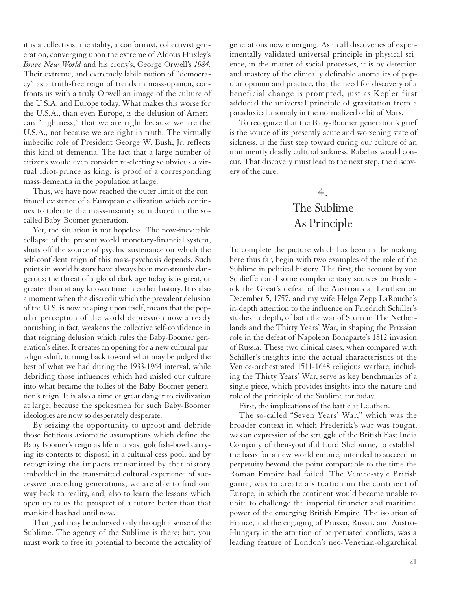it is a collectivist mentality, a conformist, collectivist generation, converging upon the extreme of Aldous Huxley's *Brave New World* and his crony's, George Orwell's *1984.* Their extreme, and extremely labile notion of "democracy" as a truth-free reign of trends in mass-opinion, confronts us with a truly Orwellian image of the culture of the U.S.A. and Europe today. What makes this worse for the U.S.A., than even Europe, is the delusion of American "rightness," that we are right because we are the U.S.A., not because we are right in truth. The virtually imbecilic role of President George W. Bush, Jr. reflects this kind of dementia. The fact that a large number of citizens would even consider re-electing so obvious a virtual idiot-prince as king, is proof of a corresponding mass-dementia in the population at large.

Thus, we have now reached the outer limit of the continued existence of a European civilization which continues to tolerate the mass-insanity so induced in the socalled Baby-Boomer generation.

Yet, the situation is not hopeless. The now-inevitable collapse of the present world monetary-financial system, shuts off the source of psychic sustenance on which the self-confident reign of this mass-psychosis depends. Such points in world history have always been monstrously dangerous; the threat of a global dark age today is as great, or greater than at any known time in earlier history. It is also a moment when the discredit which the prevalent delusion of the U.S. is now heaping upon itself, means that the popular perception of the world depression now already onrushing in fact, weakens the collective self-confidence in that reigning delusion which rules the Baby-Boomer generation's elites. It creates an opening for a new cultural paradigm-shift, turning back toward what may be judged the best of what we had during the 1933-1964 interval, while debriding those influences which had misled our culture into what became the follies of the Baby-Boomer generation's reign. It is also a time of great danger to civilization at large, because the spokesmen for such Baby-Boomer ideologies are now so desperately desperate.

By seizing the opportunity to uproot and debride those fictitious axiomatic assumptions which define the Baby Boomer's reign as life in a vast goldfish-bowl carrying its contents to disposal in a cultural cess-pool, and by recognizing the impacts transmitted by that history embedded in the transmitted cultural experience of successive preceding generations, we are able to find our way back to reality, and, also to learn the lessons which open up to us the prospect of a future better than that mankind has had until now.

That goal may be achieved only through a sense of the Sublime. The agency of the Sublime is there; but, you must work to free its potential to become the actuality of generations now emerging. As in all discoveries of experimentally validated universal principle in physical science, in the matter of social processes, it is by detection and mastery of the clinically definable anomalies of popular opinion and practice, that the need for discovery of a beneficial change is prompted, just as Kepler first adduced the universal principle of gravitation from a paradoxical anomaly in the normalized orbit of Mars.

To recognize that the Baby-Boomer generation's grief is the source of its presently acute and worsening state of sickness, is the first step toward curing our culture of an imminently deadly cultural sickness. Rabelais would concur. That discovery must lead to the next step, the discovery of the cure.

# 4. The Sublime As Principle

To complete the picture which has been in the making here thus far, begin with two examples of the role of the Sublime in political history. The first, the account by von Schlieffen and some complementary sources on Frederick the Great's defeat of the Austrians at Leuthen on December 5, 1757, and my wife Helga Zepp LaRouche's in-depth attention to the influence on Friedrich Schiller's studies in depth, of both the war of Spain in The Netherlands and the Thirty Years' War, in shaping the Prussian role in the defeat of Napoleon Bonaparte's 1812 invasion of Russia. These two clinical cases, when compared with Schiller's insights into the actual characteristics of the Venice-orchestrated 1511-1648 religious warfare, including the Thirty Years' War, serve as key benchmarks of a single piece, which provides insights into the nature and role of the principle of the Sublime for today.

First, the implications of the battle at Leuthen.

The so-called "Seven Years' War," which was the broader context in which Frederick's war was fought, was an expression of the struggle of the British East India Company of then-youthful Lord Shelburne, to establish the basis for a new world empire, intended to succeed in perpetuity beyond the point comparable to the time the Roman Empire had failed. The Venice-style British game, was to create a situation on the continent of Europe, in which the continent would become unable to unite to challenge the imperial financier and maritime power of the emerging British Empire. The isolation of France, and the engaging of Prussia, Russia, and Austro-Hungary in the attrition of perpetuated conflicts, was a leading feature of London's neo-Venetian-oligarchical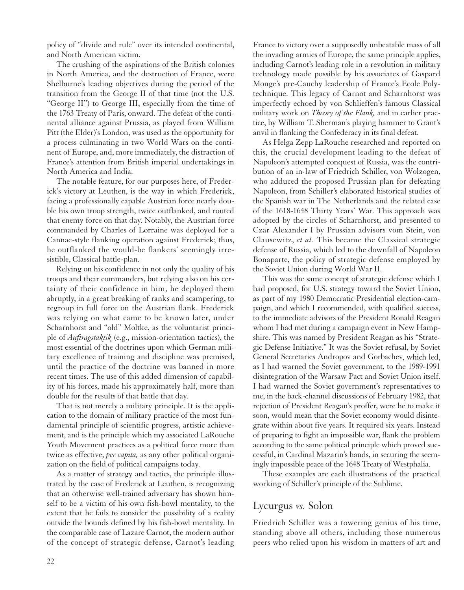policy of "divide and rule" over its intended continental, and North American victim.

The crushing of the aspirations of the British colonies in North America, and the destruction of France, were Shelburne's leading objectives during the period of the transition from the George II of that time (not the U.S. "George II") to George III, especially from the time of the 1763 Treaty of Paris, onward. The defeat of the continental alliance against Prussia, as played from William Pitt (the Elder)'s London, was used as the opportunity for a process culminating in two World Wars on the continent of Europe, and, more immediately, the distraction of France's attention from British imperial undertakings in North America and India.

The notable feature, for our purposes here, of Frederick's victory at Leuthen, is the way in which Frederick, facing a professionally capable Austrian force nearly double his own troop strength, twice outflanked, and routed that enemy force on that day. Notably, the Austrian force commanded by Charles of Lorraine was deployed for a Cannae-style flanking operation against Frederick; thus, he outflanked the would-be flankers' seemingly irresistible, Classical battle-plan.

Relying on his confidence in not only the quality of his troops and their commanders, but relying also on his certainty of their confidence in him, he deployed them abruptly, in a great breaking of ranks and scampering, to regroup in full force on the Austrian flank. Frederick was relying on what came to be known later, under Scharnhorst and "old" Moltke, as the voluntarist principle of *Auftragstaktik* (e.g., mission-orientation tactics), the most essential of the doctrines upon which German military excellence of training and discipline was premised, until the practice of the doctrine was banned in more recent times. The use of this added dimension of capability of his forces, made his approximately half, more than double for the results of that battle that day.

That is not merely a military principle. It is the application to the domain of military practice of the most fundamental principle of scientific progress, artistic achievement, and is the principle which my associated LaRouche Youth Movement practices as a political force more than twice as effective, *per capita,* as any other political organization on the field of political campaigns today.

As a matter of strategy and tactics, the principle illustrated by the case of Frederick at Leuthen, is recognizing that an otherwise well-trained adversary has shown himself to be a victim of his own fish-bowl mentality, to the extent that he fails to consider the possibility of a reality outside the bounds defined by his fish-bowl mentality. In the comparable case of Lazare Carnot, the modern author of the concept of strategic defense, Carnot's leading France to victory over a supposedly unbeatable mass of all the invading armies of Europe, the same principle applies, including Carnot's leading role in a revolution in military technology made possible by his associates of Gaspard Monge's pre-Cauchy leadership of France's Ecole Polytechnique. This legacy of Carnot and Scharnhorst was imperfectly echoed by von Schlieffen's famous Classical military work on *Theory of the Flank,* and in earlier practice, by William T. Sherman's playing hammer to Grant's anvil in flanking the Confederacy in its final defeat.

As Helga Zepp LaRouche researched and reported on this, the crucial development leading to the defeat of Napoleon's attempted conquest of Russia, was the contribution of an in-law of Friedrich Schiller, von Wolzogen, who adduced the proposed Prussian plan for defeating Napoleon, from Schiller's elaborated historical studies of the Spanish war in The Netherlands and the related case of the 1618-1648 Thirty Years' War. This approach was adopted by the circles of Scharnhorst, and presented to Czar Alexander I by Prussian advisors vom Stein, von Clausewitz, *et al.* This became the Classical strategic defense of Russia, which led to the downfall of Napoleon Bonaparte, the policy of strategic defense employed by the Soviet Union during World War II.

This was the same concept of strategic defense which I had proposed, for U.S. strategy toward the Soviet Union, as part of my 1980 Democratic Presidential election-campaign, and which I recommended, with qualified success, to the immediate advisors of the President Ronald Reagan whom I had met during a campaign event in New Hampshire. This was named by President Reagan as his "Strategic Defense Initiative." It was the Soviet refusal, by Soviet General Secretaries Andropov and Gorbachev, which led, as I had warned the Soviet government, to the 1989-1991 disintegration of the Warsaw Pact and Soviet Union itself. I had warned the Soviet government's representatives to me, in the back-channel discussions of February 1982, that rejection of President Reagan's proffer, were he to make it soon, would mean that the Soviet economy would disintegrate within about five years. It required six years. Instead of preparing to fight an impossible war, flank the problem according to the same political principle which proved successful, in Cardinal Mazarin's hands, in securing the seemingly impossible peace of the 1648 Treaty of Westphalia.

These examples are each illustrations of the practical working of Schiller's principle of the Sublime.

## Lycurgus *vs.* Solon

Friedrich Schiller was a towering genius of his time, standing above all others, including those numerous peers who relied upon his wisdom in matters of art and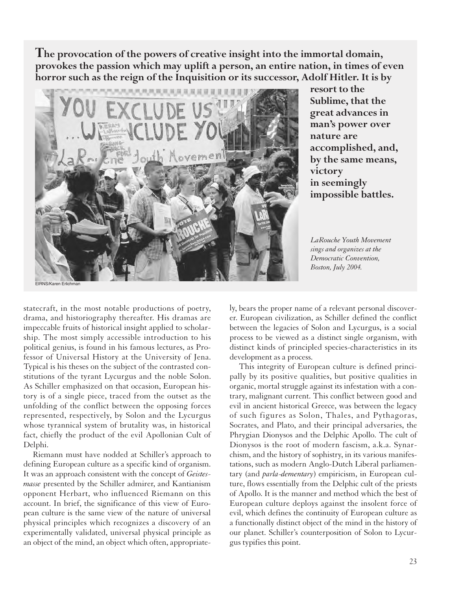**The provocation of the powers of creative insight into the immortal domain, provokes the passion which may uplift a person, an entire nation, in times of even horror such as the reign of the Inquisition or its successor, Adolf Hitler. It is by**



**resort to the Sublime, that the great advances in man's power over nature are accomplished, and, by the same means, victory in seemingly impossible battles.**

*LaRouche Youth Movement sings and organizes at the Democratic Convention, Boston, July 2004.*

statecraft, in the most notable productions of poetry, drama, and historiography thereafter. His dramas are impeccable fruits of historical insight applied to scholarship. The most simply accessible introduction to his political genius, is found in his famous lectures, as Professor of Universal History at the University of Jena. Typical is his theses on the subject of the contrasted constitutions of the tyrant Lycurgus and the noble Solon. As Schiller emphasized on that occasion, European history is of a single piece, traced from the outset as the unfolding of the conflict between the opposing forces represented, respectively, by Solon and the Lycurgus whose tyrannical system of brutality was, in historical fact, chiefly the product of the evil Apollonian Cult of Delphi.

Riemann must have nodded at Schiller's approach to defining European culture as a specific kind of organism. It was an approach consistent with the concept of *Geistesmasse* presented by the Schiller admirer, and Kantianism opponent Herbart, who influenced Riemann on this account. In brief, the significance of this view of European culture is the same view of the nature of universal physical principles which recognizes a discovery of an experimentally validated, universal physical principle as an object of the mind, an object which often, appropriately, bears the proper name of a relevant personal discoverer. European civilization, as Schiller defined the conflict between the legacies of Solon and Lycurgus, is a social process to be viewed as a distinct single organism, with distinct kinds of principled species-characteristics in its development as a process.

This integrity of European culture is defined principally by its positive qualities, but positive qualities in organic, mortal struggle against its infestation with a contrary, malignant current. This conflict between good and evil in ancient historical Greece, was between the legacy of such figures as Solon, Thales, and Pythagoras, Socrates, and Plato, and their principal adversaries, the Phrygian Dionysos and the Delphic Apollo. The cult of Dionysos is the root of modern fascism, a.k.a. Synarchism, and the history of sophistry, in its various manifestations, such as modern Anglo-Dutch Liberal parliamentary (and *parla-dementary*) empiricism, in European culture, flows essentially from the Delphic cult of the priests of Apollo. It is the manner and method which the best of European culture deploys against the insolent force of evil, which defines the continuity of European culture as a functionally distinct object of the mind in the history of our planet. Schiller's counterposition of Solon to Lycurgus typifies this point.